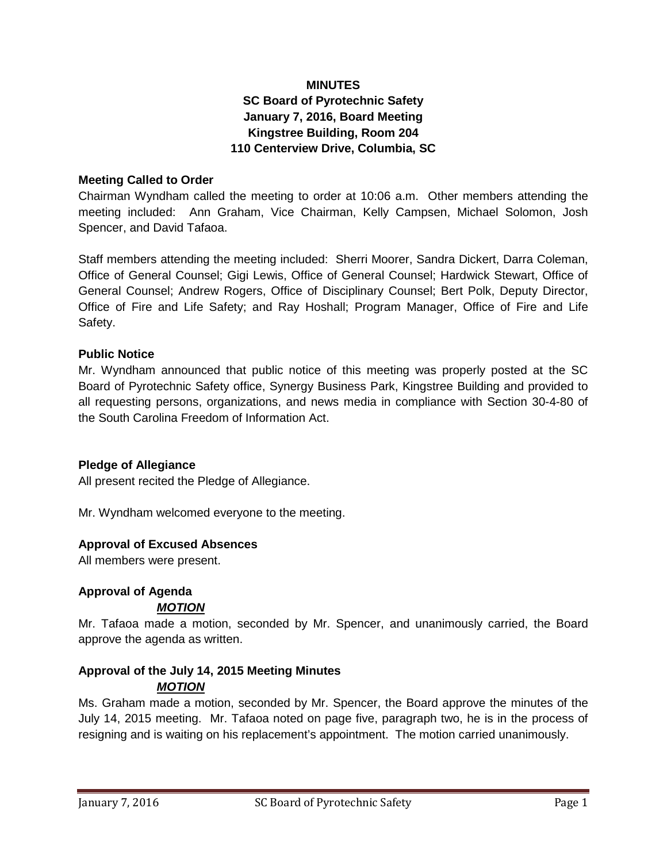## **MINUTES SC Board of Pyrotechnic Safety January 7, 2016, Board Meeting Kingstree Building, Room 204 110 Centerview Drive, Columbia, SC**

#### **Meeting Called to Order**

Chairman Wyndham called the meeting to order at 10:06 a.m. Other members attending the meeting included: Ann Graham, Vice Chairman, Kelly Campsen, Michael Solomon, Josh Spencer, and David Tafaoa.

Staff members attending the meeting included: Sherri Moorer, Sandra Dickert, Darra Coleman, Office of General Counsel; Gigi Lewis, Office of General Counsel; Hardwick Stewart, Office of General Counsel; Andrew Rogers, Office of Disciplinary Counsel; Bert Polk, Deputy Director, Office of Fire and Life Safety; and Ray Hoshall; Program Manager, Office of Fire and Life Safety.

#### **Public Notice**

Mr. Wyndham announced that public notice of this meeting was properly posted at the SC Board of Pyrotechnic Safety office, Synergy Business Park, Kingstree Building and provided to all requesting persons, organizations, and news media in compliance with Section 30-4-80 of the South Carolina Freedom of Information Act.

#### **Pledge of Allegiance**

All present recited the Pledge of Allegiance.

Mr. Wyndham welcomed everyone to the meeting.

#### **Approval of Excused Absences**

All members were present.

## **Approval of Agenda**

#### *MOTION*

Mr. Tafaoa made a motion, seconded by Mr. Spencer, and unanimously carried, the Board approve the agenda as written.

# **Approval of the July 14, 2015 Meeting Minutes**

## *MOTION*

Ms. Graham made a motion, seconded by Mr. Spencer, the Board approve the minutes of the July 14, 2015 meeting. Mr. Tafaoa noted on page five, paragraph two, he is in the process of resigning and is waiting on his replacement's appointment. The motion carried unanimously.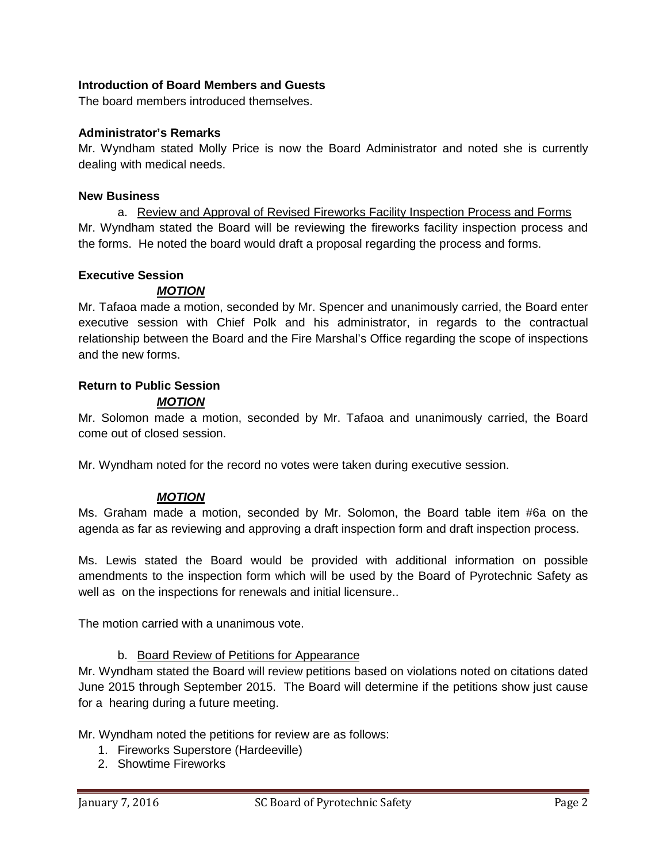## **Introduction of Board Members and Guests**

The board members introduced themselves.

#### **Administrator's Remarks**

Mr. Wyndham stated Molly Price is now the Board Administrator and noted she is currently dealing with medical needs.

#### **New Business**

a. Review and Approval of Revised Fireworks Facility Inspection Process and Forms Mr. Wyndham stated the Board will be reviewing the fireworks facility inspection process and the forms. He noted the board would draft a proposal regarding the process and forms.

#### **Executive Session**

## *MOTION*

Mr. Tafaoa made a motion, seconded by Mr. Spencer and unanimously carried, the Board enter executive session with Chief Polk and his administrator, in regards to the contractual relationship between the Board and the Fire Marshal's Office regarding the scope of inspections and the new forms.

## **Return to Public Session**

## *MOTION*

Mr. Solomon made a motion, seconded by Mr. Tafaoa and unanimously carried, the Board come out of closed session.

Mr. Wyndham noted for the record no votes were taken during executive session.

## *MOTION*

Ms. Graham made a motion, seconded by Mr. Solomon, the Board table item #6a on the agenda as far as reviewing and approving a draft inspection form and draft inspection process.

Ms. Lewis stated the Board would be provided with additional information on possible amendments to the inspection form which will be used by the Board of Pyrotechnic Safety as well as on the inspections for renewals and initial licensure..

The motion carried with a unanimous vote.

## b. Board Review of Petitions for Appearance

Mr. Wyndham stated the Board will review petitions based on violations noted on citations dated June 2015 through September 2015. The Board will determine if the petitions show just cause for a hearing during a future meeting.

Mr. Wyndham noted the petitions for review are as follows:

- 1. Fireworks Superstore (Hardeeville)
- 2. Showtime Fireworks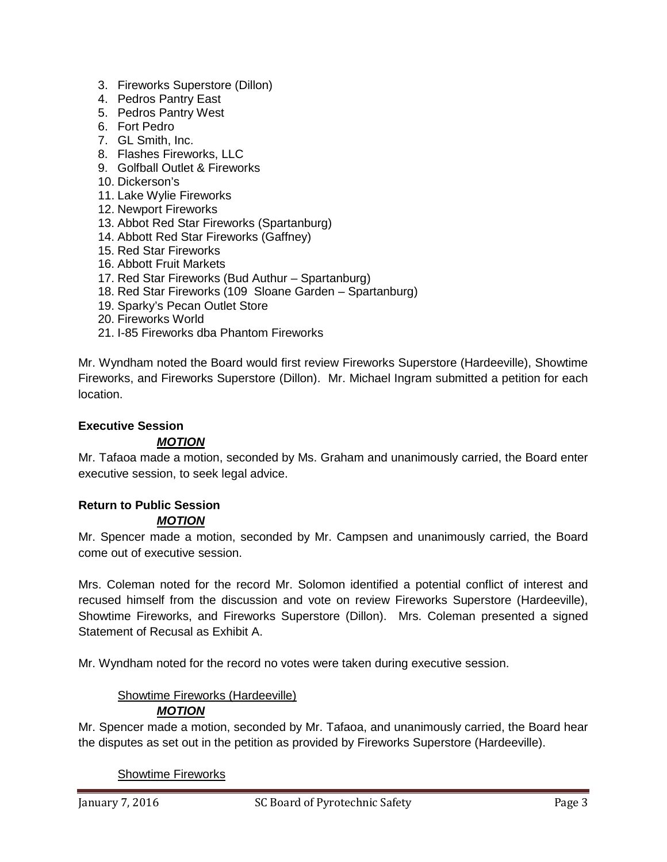- 3. Fireworks Superstore (Dillon)
- 4. Pedros Pantry East
- 5. Pedros Pantry West
- 6. Fort Pedro
- 7. GL Smith, Inc.
- 8. Flashes Fireworks, LLC
- 9. Golfball Outlet & Fireworks
- 10. Dickerson's
- 11. Lake Wylie Fireworks
- 12. Newport Fireworks
- 13. Abbot Red Star Fireworks (Spartanburg)
- 14. Abbott Red Star Fireworks (Gaffney)
- 15. Red Star Fireworks
- 16. Abbott Fruit Markets
- 17. Red Star Fireworks (Bud Authur Spartanburg)
- 18. Red Star Fireworks (109 Sloane Garden Spartanburg)
- 19. Sparky's Pecan Outlet Store
- 20. Fireworks World
- 21. I-85 Fireworks dba Phantom Fireworks

Mr. Wyndham noted the Board would first review Fireworks Superstore (Hardeeville), Showtime Fireworks, and Fireworks Superstore (Dillon). Mr. Michael Ingram submitted a petition for each location.

#### **Executive Session**

#### *MOTION*

Mr. Tafaoa made a motion, seconded by Ms. Graham and unanimously carried, the Board enter executive session, to seek legal advice.

## **Return to Public Session**

#### *MOTION*

Mr. Spencer made a motion, seconded by Mr. Campsen and unanimously carried, the Board come out of executive session.

Mrs. Coleman noted for the record Mr. Solomon identified a potential conflict of interest and recused himself from the discussion and vote on review Fireworks Superstore (Hardeeville), Showtime Fireworks, and Fireworks Superstore (Dillon). Mrs. Coleman presented a signed Statement of Recusal as Exhibit A.

Mr. Wyndham noted for the record no votes were taken during executive session.

#### Showtime Fireworks (Hardeeville) *MOTION*

Mr. Spencer made a motion, seconded by Mr. Tafaoa, and unanimously carried, the Board hear the disputes as set out in the petition as provided by Fireworks Superstore (Hardeeville).

Showtime Fireworks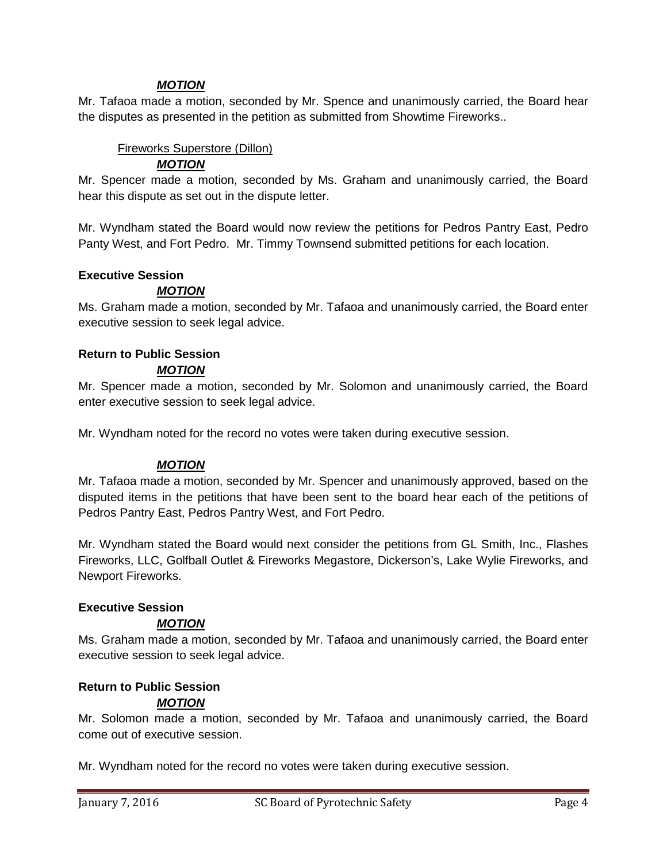## *MOTION*

Mr. Tafaoa made a motion, seconded by Mr. Spence and unanimously carried, the Board hear the disputes as presented in the petition as submitted from Showtime Fireworks..

### Fireworks Superstore (Dillon)

## *MOTION*

Mr. Spencer made a motion, seconded by Ms. Graham and unanimously carried, the Board hear this dispute as set out in the dispute letter.

Mr. Wyndham stated the Board would now review the petitions for Pedros Pantry East, Pedro Panty West, and Fort Pedro. Mr. Timmy Townsend submitted petitions for each location.

#### **Executive Session**

## *MOTION*

Ms. Graham made a motion, seconded by Mr. Tafaoa and unanimously carried, the Board enter executive session to seek legal advice.

## **Return to Public Session**

#### *MOTION*

Mr. Spencer made a motion, seconded by Mr. Solomon and unanimously carried, the Board enter executive session to seek legal advice.

Mr. Wyndham noted for the record no votes were taken during executive session.

#### *MOTION*

Mr. Tafaoa made a motion, seconded by Mr. Spencer and unanimously approved, based on the disputed items in the petitions that have been sent to the board hear each of the petitions of Pedros Pantry East, Pedros Pantry West, and Fort Pedro.

Mr. Wyndham stated the Board would next consider the petitions from GL Smith, Inc., Flashes Fireworks, LLC, Golfball Outlet & Fireworks Megastore, Dickerson's, Lake Wylie Fireworks, and Newport Fireworks.

#### **Executive Session**

#### *MOTION*

Ms. Graham made a motion, seconded by Mr. Tafaoa and unanimously carried, the Board enter executive session to seek legal advice.

#### **Return to Public Session**

#### *MOTION*

Mr. Solomon made a motion, seconded by Mr. Tafaoa and unanimously carried, the Board come out of executive session.

Mr. Wyndham noted for the record no votes were taken during executive session.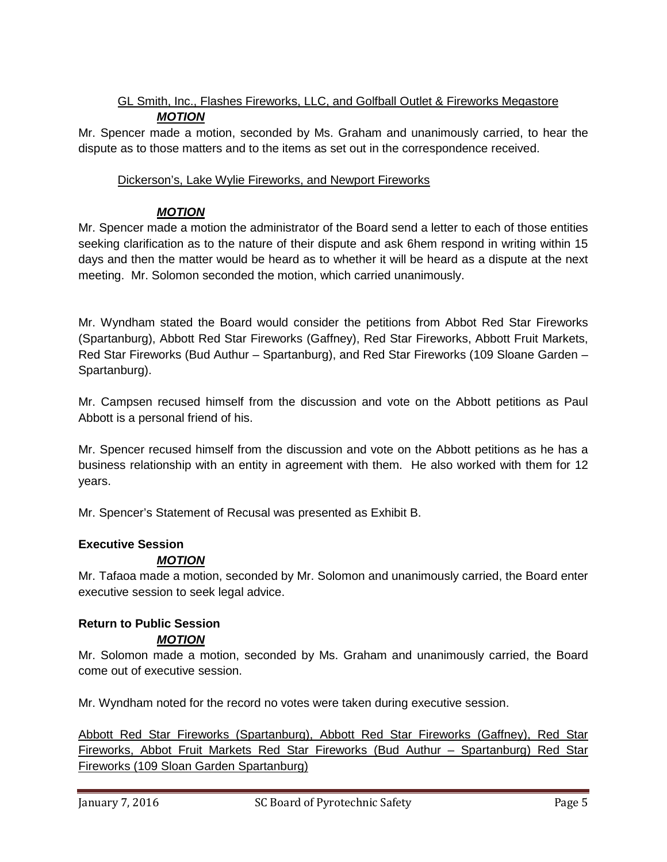## GL Smith, Inc., Flashes Fireworks, LLC, and Golfball Outlet & Fireworks Megastore *MOTION*

Mr. Spencer made a motion, seconded by Ms. Graham and unanimously carried, to hear the dispute as to those matters and to the items as set out in the correspondence received.

## Dickerson's, Lake Wylie Fireworks, and Newport Fireworks

## *MOTION*

Mr. Spencer made a motion the administrator of the Board send a letter to each of those entities seeking clarification as to the nature of their dispute and ask 6hem respond in writing within 15 days and then the matter would be heard as to whether it will be heard as a dispute at the next meeting. Mr. Solomon seconded the motion, which carried unanimously.

Mr. Wyndham stated the Board would consider the petitions from Abbot Red Star Fireworks (Spartanburg), Abbott Red Star Fireworks (Gaffney), Red Star Fireworks, Abbott Fruit Markets, Red Star Fireworks (Bud Authur – Spartanburg), and Red Star Fireworks (109 Sloane Garden – Spartanburg).

Mr. Campsen recused himself from the discussion and vote on the Abbott petitions as Paul Abbott is a personal friend of his.

Mr. Spencer recused himself from the discussion and vote on the Abbott petitions as he has a business relationship with an entity in agreement with them. He also worked with them for 12 years.

Mr. Spencer's Statement of Recusal was presented as Exhibit B.

#### **Executive Session**

## *MOTION*

Mr. Tafaoa made a motion, seconded by Mr. Solomon and unanimously carried, the Board enter executive session to seek legal advice.

#### **Return to Public Session** *MOTION*

Mr. Solomon made a motion, seconded by Ms. Graham and unanimously carried, the Board come out of executive session.

Mr. Wyndham noted for the record no votes were taken during executive session.

Abbott Red Star Fireworks (Spartanburg), Abbott Red Star Fireworks (Gaffney), Red Star Fireworks, Abbot Fruit Markets Red Star Fireworks (Bud Authur – Spartanburg) Red Star Fireworks (109 Sloan Garden Spartanburg)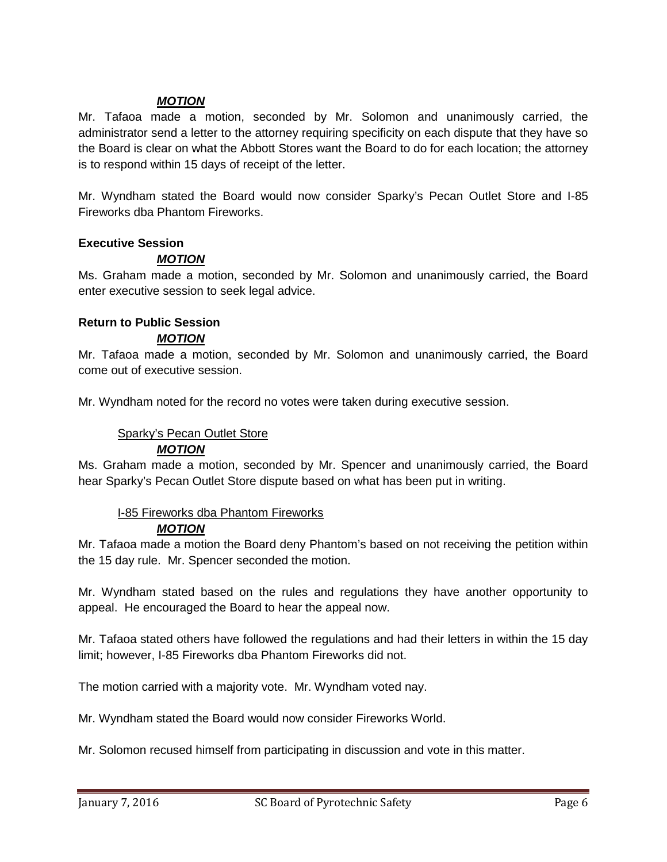### *MOTION*

Mr. Tafaoa made a motion, seconded by Mr. Solomon and unanimously carried, the administrator send a letter to the attorney requiring specificity on each dispute that they have so the Board is clear on what the Abbott Stores want the Board to do for each location; the attorney is to respond within 15 days of receipt of the letter.

Mr. Wyndham stated the Board would now consider Sparky's Pecan Outlet Store and I-85 Fireworks dba Phantom Fireworks.

#### **Executive Session**

## *MOTION*

Ms. Graham made a motion, seconded by Mr. Solomon and unanimously carried, the Board enter executive session to seek legal advice.

#### **Return to Public Session**

#### *MOTION*

Mr. Tafaoa made a motion, seconded by Mr. Solomon and unanimously carried, the Board come out of executive session.

Mr. Wyndham noted for the record no votes were taken during executive session.

#### Sparky's Pecan Outlet Store

#### *MOTION*

Ms. Graham made a motion, seconded by Mr. Spencer and unanimously carried, the Board hear Sparky's Pecan Outlet Store dispute based on what has been put in writing.

## I-85 Fireworks dba Phantom Fireworks

#### *MOTION*

Mr. Tafaoa made a motion the Board deny Phantom's based on not receiving the petition within the 15 day rule. Mr. Spencer seconded the motion.

Mr. Wyndham stated based on the rules and regulations they have another opportunity to appeal. He encouraged the Board to hear the appeal now.

Mr. Tafaoa stated others have followed the regulations and had their letters in within the 15 day limit; however, I-85 Fireworks dba Phantom Fireworks did not.

The motion carried with a majority vote. Mr. Wyndham voted nay.

Mr. Wyndham stated the Board would now consider Fireworks World.

Mr. Solomon recused himself from participating in discussion and vote in this matter.